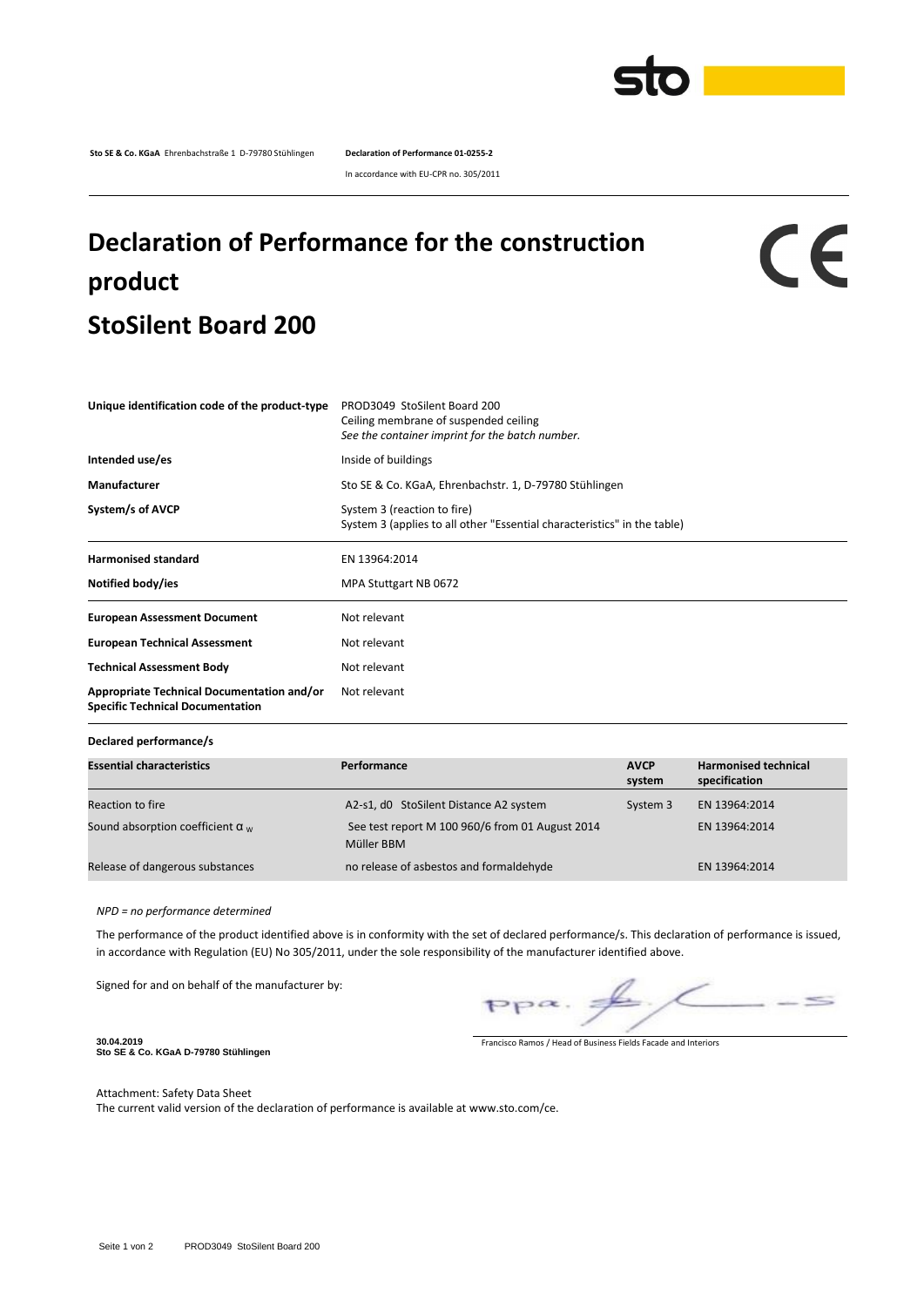

**Sto SE & Co. KGaA** Ehrenbachstraße 1 D-79780 Stühlingen **Declaration of Performance 01-0255-2**

In accordance with EU-CPR no. 305/2011

## **Declaration of Performance for the construction product StoSilent Board 200**

CE

| Unique identification code of the product-type                                               | PROD3049 StoSilent Board 200<br>Ceiling membrane of suspended ceiling<br>See the container imprint for the batch number. |  |  |  |
|----------------------------------------------------------------------------------------------|--------------------------------------------------------------------------------------------------------------------------|--|--|--|
| Intended use/es                                                                              | Inside of buildings                                                                                                      |  |  |  |
| Manufacturer                                                                                 | Sto SE & Co. KGaA, Ehrenbachstr. 1, D-79780 Stühlingen                                                                   |  |  |  |
| System/s of AVCP                                                                             | System 3 (reaction to fire)<br>System 3 (applies to all other "Essential characteristics" in the table)                  |  |  |  |
| <b>Harmonised standard</b>                                                                   | EN 13964:2014                                                                                                            |  |  |  |
| Notified body/ies                                                                            | MPA Stuttgart NB 0672                                                                                                    |  |  |  |
| <b>European Assessment Document</b>                                                          | Not relevant                                                                                                             |  |  |  |
| <b>European Technical Assessment</b>                                                         | Not relevant                                                                                                             |  |  |  |
| <b>Technical Assessment Body</b>                                                             | Not relevant                                                                                                             |  |  |  |
| <b>Appropriate Technical Documentation and/or</b><br><b>Specific Technical Documentation</b> | Not relevant                                                                                                             |  |  |  |

**Declared performance/s**

| <b>Essential characteristics</b>        | Performance                                                   | <b>AVCP</b><br>system | <b>Harmonised technical</b><br>specification |
|-----------------------------------------|---------------------------------------------------------------|-----------------------|----------------------------------------------|
| Reaction to fire                        | A2-s1, d0 StoSilent Distance A2 system                        | System 3              | EN 13964:2014                                |
| Sound absorption coefficient $\alpha_w$ | See test report M 100 960/6 from 01 August 2014<br>Müller BBM |                       | EN 13964:2014                                |
| Release of dangerous substances         | no release of asbestos and formaldehyde                       |                       | EN 13964:2014                                |

*NPD = no performance determined*

The performance of the product identified above is in conformity with the set of declared performance/s. This declaration of performance is issued, in accordance with Regulation (EU) No 305/2011, under the sole responsibility of the manufacturer identified above.

Signed for and on behalf of the manufacturer by:

 $\leq$  $pp\alpha$ .

**30.04.2019 Sto SE & Co. KGaA D-79780 Stühlingen**

Francisco Ramos / Head of Business Fields Facade and Interiors

Attachment: Safety Data Sheet The current valid version of the declaration of performance is available at www.sto.com/ce.